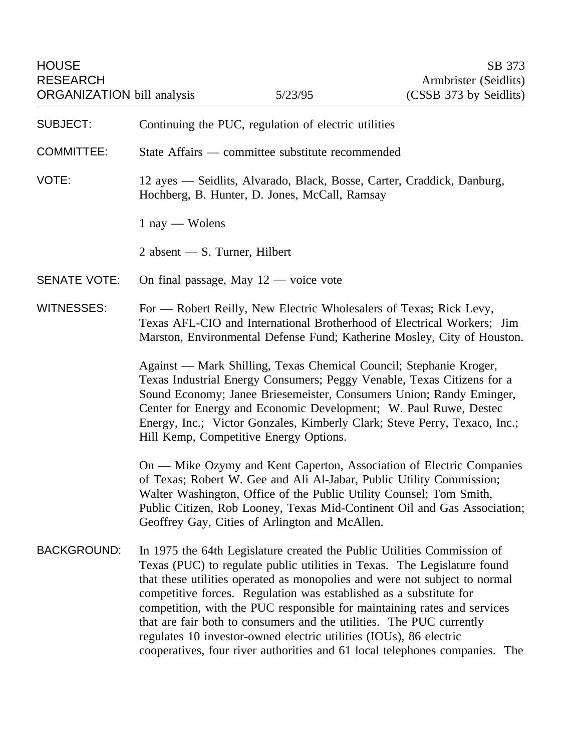| <b>HOUSE</b><br><b>RESEARCH</b><br><b>ORGANIZATION</b> bill analysis |                                                                                                                                                                                                                                                                                                                                                                                                                                                                                                                                                                                                                  | 5/23/95                                 | SB 373<br>Armbrister (Seidlits)<br>(CSSB 373 by Seidlits) |
|----------------------------------------------------------------------|------------------------------------------------------------------------------------------------------------------------------------------------------------------------------------------------------------------------------------------------------------------------------------------------------------------------------------------------------------------------------------------------------------------------------------------------------------------------------------------------------------------------------------------------------------------------------------------------------------------|-----------------------------------------|-----------------------------------------------------------|
| <b>SUBJECT:</b>                                                      | Continuing the PUC, regulation of electric utilities                                                                                                                                                                                                                                                                                                                                                                                                                                                                                                                                                             |                                         |                                                           |
| <b>COMMITTEE:</b>                                                    | State Affairs — committee substitute recommended                                                                                                                                                                                                                                                                                                                                                                                                                                                                                                                                                                 |                                         |                                                           |
| VOTE:                                                                | 12 ayes — Seidlits, Alvarado, Black, Bosse, Carter, Craddick, Danburg,<br>Hochberg, B. Hunter, D. Jones, McCall, Ramsay                                                                                                                                                                                                                                                                                                                                                                                                                                                                                          |                                         |                                                           |
|                                                                      | $1$ nay — Wolens                                                                                                                                                                                                                                                                                                                                                                                                                                                                                                                                                                                                 |                                         |                                                           |
|                                                                      | 2 absent $-$ S. Turner, Hilbert                                                                                                                                                                                                                                                                                                                                                                                                                                                                                                                                                                                  |                                         |                                                           |
| <b>SENATE VOTE:</b>                                                  |                                                                                                                                                                                                                                                                                                                                                                                                                                                                                                                                                                                                                  | On final passage, May $12$ — voice vote |                                                           |
| <b>WITNESSES:</b>                                                    | For — Robert Reilly, New Electric Wholesalers of Texas; Rick Levy,<br>Texas AFL-CIO and International Brotherhood of Electrical Workers; Jim<br>Marston, Environmental Defense Fund; Katherine Mosley, City of Houston.                                                                                                                                                                                                                                                                                                                                                                                          |                                         |                                                           |
|                                                                      | Against — Mark Shilling, Texas Chemical Council; Stephanie Kroger,<br>Texas Industrial Energy Consumers; Peggy Venable, Texas Citizens for a<br>Sound Economy; Janee Briesemeister, Consumers Union; Randy Eminger,<br>Center for Energy and Economic Development; W. Paul Ruwe, Destec<br>Energy, Inc.; Victor Gonzales, Kimberly Clark; Steve Perry, Texaco, Inc.;<br>Hill Kemp, Competitive Energy Options.                                                                                                                                                                                                   |                                         |                                                           |
|                                                                      | On — Mike Ozymy and Kent Caperton, Association of Electric Companies<br>of Texas; Robert W. Gee and Ali Al-Jabar, Public Utility Commission;<br>Walter Washington, Office of the Public Utility Counsel; Tom Smith,<br>Public Citizen, Rob Looney, Texas Mid-Continent Oil and Gas Association;<br>Geoffrey Gay, Cities of Arlington and McAllen.                                                                                                                                                                                                                                                                |                                         |                                                           |
| <b>BACKGROUND:</b>                                                   | In 1975 the 64th Legislature created the Public Utilities Commission of<br>Texas (PUC) to regulate public utilities in Texas. The Legislature found<br>that these utilities operated as monopolies and were not subject to normal<br>competitive forces. Regulation was established as a substitute for<br>competition, with the PUC responsible for maintaining rates and services<br>that are fair both to consumers and the utilities. The PUC currently<br>regulates 10 investor-owned electric utilities (IOUs), 86 electric<br>cooperatives, four river authorities and 61 local telephones companies. The |                                         |                                                           |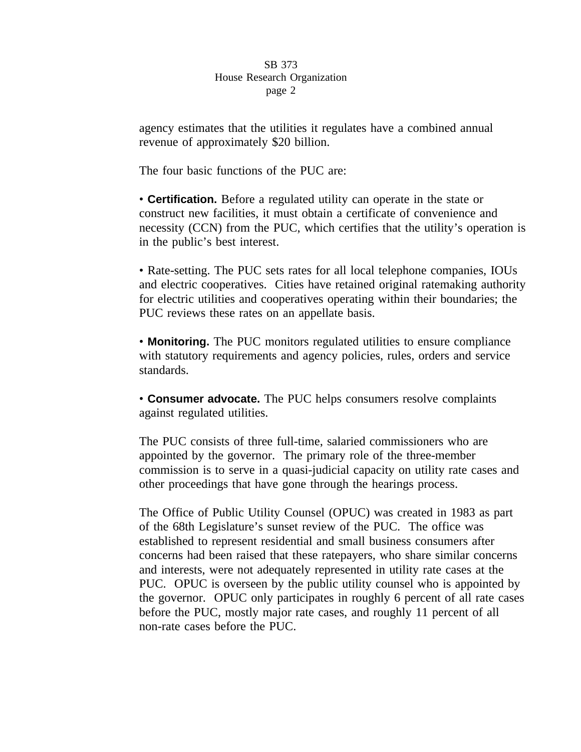agency estimates that the utilities it regulates have a combined annual revenue of approximately \$20 billion.

The four basic functions of the PUC are:

• **Certification.** Before a regulated utility can operate in the state or construct new facilities, it must obtain a certificate of convenience and necessity (CCN) from the PUC, which certifies that the utility's operation is in the public's best interest.

• Rate-setting. The PUC sets rates for all local telephone companies, IOUs and electric cooperatives. Cities have retained original ratemaking authority for electric utilities and cooperatives operating within their boundaries; the PUC reviews these rates on an appellate basis.

• **Monitoring.** The PUC monitors regulated utilities to ensure compliance with statutory requirements and agency policies, rules, orders and service standards.

• **Consumer advocate.** The PUC helps consumers resolve complaints against regulated utilities.

The PUC consists of three full-time, salaried commissioners who are appointed by the governor. The primary role of the three-member commission is to serve in a quasi-judicial capacity on utility rate cases and other proceedings that have gone through the hearings process.

The Office of Public Utility Counsel (OPUC) was created in 1983 as part of the 68th Legislature's sunset review of the PUC. The office was established to represent residential and small business consumers after concerns had been raised that these ratepayers, who share similar concerns and interests, were not adequately represented in utility rate cases at the PUC. OPUC is overseen by the public utility counsel who is appointed by the governor. OPUC only participates in roughly 6 percent of all rate cases before the PUC, mostly major rate cases, and roughly 11 percent of all non-rate cases before the PUC.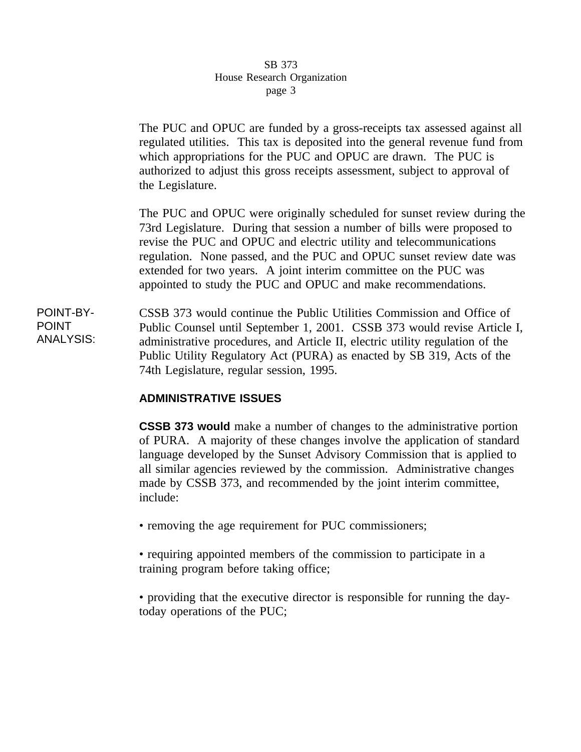The PUC and OPUC are funded by a gross-receipts tax assessed against all regulated utilities. This tax is deposited into the general revenue fund from which appropriations for the PUC and OPUC are drawn. The PUC is authorized to adjust this gross receipts assessment, subject to approval of the Legislature.

The PUC and OPUC were originally scheduled for sunset review during the 73rd Legislature. During that session a number of bills were proposed to revise the PUC and OPUC and electric utility and telecommunications regulation. None passed, and the PUC and OPUC sunset review date was extended for two years. A joint interim committee on the PUC was appointed to study the PUC and OPUC and make recommendations.

POINT-BY-POINT ANALYSIS: CSSB 373 would continue the Public Utilities Commission and Office of Public Counsel until September 1, 2001. CSSB 373 would revise Article I, administrative procedures, and Article II, electric utility regulation of the Public Utility Regulatory Act (PURA) as enacted by SB 319, Acts of the 74th Legislature, regular session, 1995.

# **ADMINISTRATIVE ISSUES**

**CSSB 373 would** make a number of changes to the administrative portion of PURA. A majority of these changes involve the application of standard language developed by the Sunset Advisory Commission that is applied to all similar agencies reviewed by the commission. Administrative changes made by CSSB 373, and recommended by the joint interim committee, include:

• removing the age requirement for PUC commissioners;

• requiring appointed members of the commission to participate in a training program before taking office;

• providing that the executive director is responsible for running the daytoday operations of the PUC;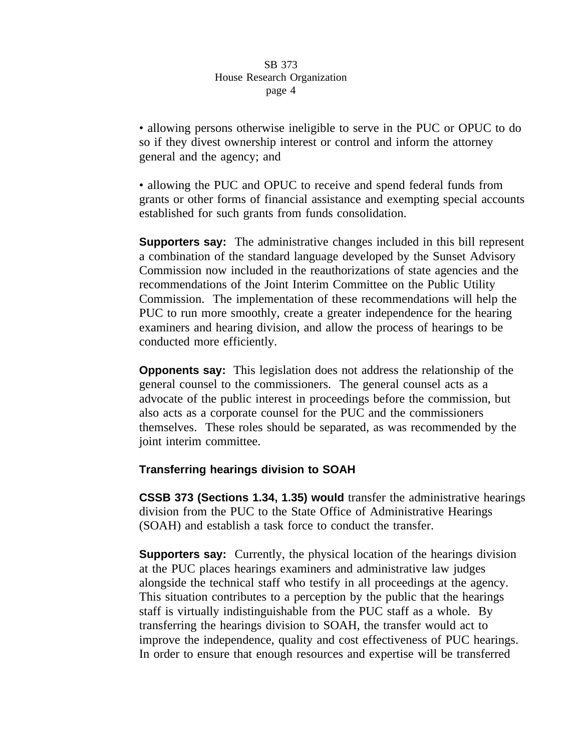• allowing persons otherwise ineligible to serve in the PUC or OPUC to do so if they divest ownership interest or control and inform the attorney general and the agency; and

• allowing the PUC and OPUC to receive and spend federal funds from grants or other forms of financial assistance and exempting special accounts established for such grants from funds consolidation.

**Supporters say:** The administrative changes included in this bill represent a combination of the standard language developed by the Sunset Advisory Commission now included in the reauthorizations of state agencies and the recommendations of the Joint Interim Committee on the Public Utility Commission. The implementation of these recommendations will help the PUC to run more smoothly, create a greater independence for the hearing examiners and hearing division, and allow the process of hearings to be conducted more efficiently.

**Opponents say:** This legislation does not address the relationship of the general counsel to the commissioners. The general counsel acts as a advocate of the public interest in proceedings before the commission, but also acts as a corporate counsel for the PUC and the commissioners themselves. These roles should be separated, as was recommended by the joint interim committee.

# **Transferring hearings division to SOAH**

**CSSB 373 (Sections 1.34, 1.35) would** transfer the administrative hearings division from the PUC to the State Office of Administrative Hearings (SOAH) and establish a task force to conduct the transfer.

**Supporters say:** Currently, the physical location of the hearings division at the PUC places hearings examiners and administrative law judges alongside the technical staff who testify in all proceedings at the agency. This situation contributes to a perception by the public that the hearings staff is virtually indistinguishable from the PUC staff as a whole. By transferring the hearings division to SOAH, the transfer would act to improve the independence, quality and cost effectiveness of PUC hearings. In order to ensure that enough resources and expertise will be transferred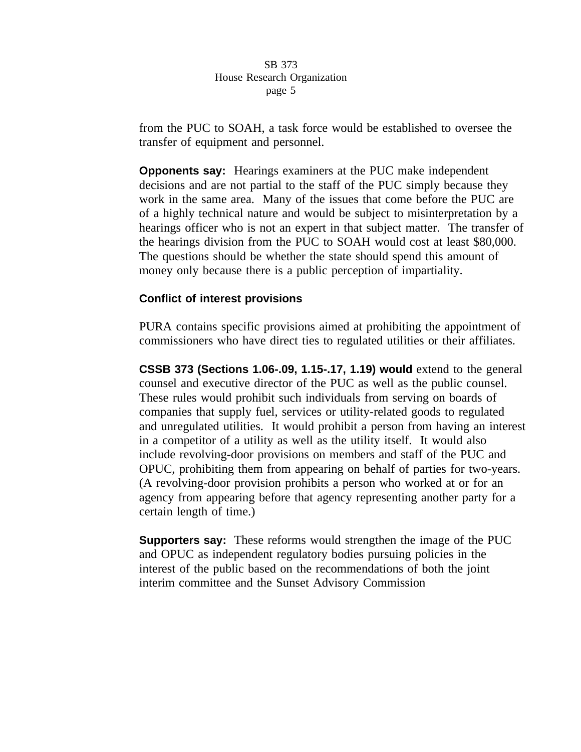from the PUC to SOAH, a task force would be established to oversee the transfer of equipment and personnel.

**Opponents say:** Hearings examiners at the PUC make independent decisions and are not partial to the staff of the PUC simply because they work in the same area. Many of the issues that come before the PUC are of a highly technical nature and would be subject to misinterpretation by a hearings officer who is not an expert in that subject matter. The transfer of the hearings division from the PUC to SOAH would cost at least \$80,000. The questions should be whether the state should spend this amount of money only because there is a public perception of impartiality.

# **Conflict of interest provisions**

PURA contains specific provisions aimed at prohibiting the appointment of commissioners who have direct ties to regulated utilities or their affiliates.

**CSSB 373 (Sections 1.06-.09, 1.15-.17, 1.19) would** extend to the general counsel and executive director of the PUC as well as the public counsel. These rules would prohibit such individuals from serving on boards of companies that supply fuel, services or utility-related goods to regulated and unregulated utilities. It would prohibit a person from having an interest in a competitor of a utility as well as the utility itself. It would also include revolving-door provisions on members and staff of the PUC and OPUC, prohibiting them from appearing on behalf of parties for two-years. (A revolving-door provision prohibits a person who worked at or for an agency from appearing before that agency representing another party for a certain length of time.)

**Supporters say:** These reforms would strengthen the image of the PUC and OPUC as independent regulatory bodies pursuing policies in the interest of the public based on the recommendations of both the joint interim committee and the Sunset Advisory Commission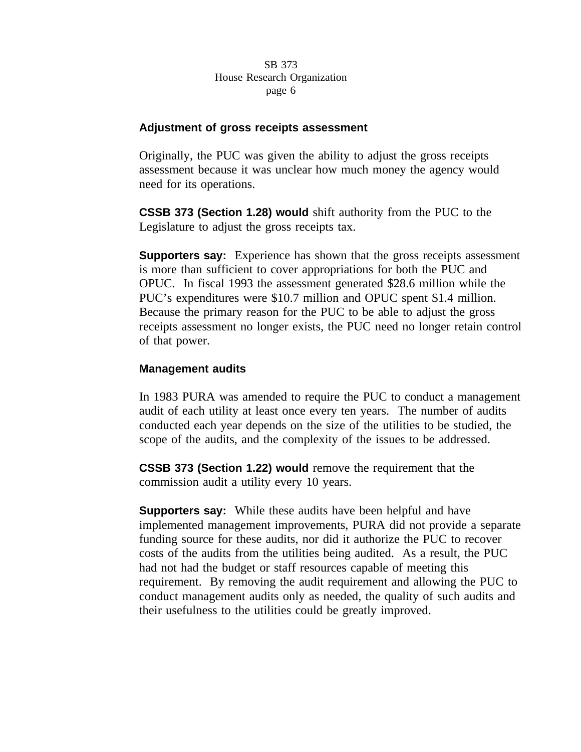

# **Adjustment of gross receipts assessment**

Originally, the PUC was given the ability to adjust the gross receipts assessment because it was unclear how much money the agency would need for its operations.

**CSSB 373 (Section 1.28) would** shift authority from the PUC to the Legislature to adjust the gross receipts tax.

**Supporters say:** Experience has shown that the gross receipts assessment is more than sufficient to cover appropriations for both the PUC and OPUC. In fiscal 1993 the assessment generated \$28.6 million while the PUC's expenditures were \$10.7 million and OPUC spent \$1.4 million. Because the primary reason for the PUC to be able to adjust the gross receipts assessment no longer exists, the PUC need no longer retain control of that power.

## **Management audits**

In 1983 PURA was amended to require the PUC to conduct a management audit of each utility at least once every ten years. The number of audits conducted each year depends on the size of the utilities to be studied, the scope of the audits, and the complexity of the issues to be addressed.

**CSSB 373 (Section 1.22) would** remove the requirement that the commission audit a utility every 10 years.

**Supporters say:** While these audits have been helpful and have implemented management improvements, PURA did not provide a separate funding source for these audits, nor did it authorize the PUC to recover costs of the audits from the utilities being audited. As a result, the PUC had not had the budget or staff resources capable of meeting this requirement. By removing the audit requirement and allowing the PUC to conduct management audits only as needed, the quality of such audits and their usefulness to the utilities could be greatly improved.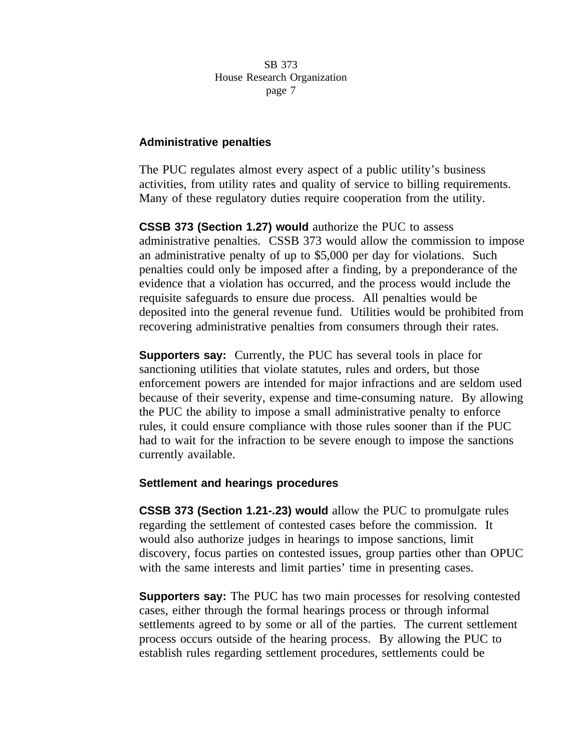#### **Administrative penalties**

The PUC regulates almost every aspect of a public utility's business activities, from utility rates and quality of service to billing requirements. Many of these regulatory duties require cooperation from the utility.

**CSSB 373 (Section 1.27) would** authorize the PUC to assess administrative penalties. CSSB 373 would allow the commission to impose an administrative penalty of up to \$5,000 per day for violations. Such penalties could only be imposed after a finding, by a preponderance of the evidence that a violation has occurred, and the process would include the requisite safeguards to ensure due process. All penalties would be deposited into the general revenue fund. Utilities would be prohibited from recovering administrative penalties from consumers through their rates.

**Supporters say:** Currently, the PUC has several tools in place for sanctioning utilities that violate statutes, rules and orders, but those enforcement powers are intended for major infractions and are seldom used because of their severity, expense and time-consuming nature. By allowing the PUC the ability to impose a small administrative penalty to enforce rules, it could ensure compliance with those rules sooner than if the PUC had to wait for the infraction to be severe enough to impose the sanctions currently available.

## **Settlement and hearings procedures**

**CSSB 373 (Section 1.21-.23) would** allow the PUC to promulgate rules regarding the settlement of contested cases before the commission. It would also authorize judges in hearings to impose sanctions, limit discovery, focus parties on contested issues, group parties other than OPUC with the same interests and limit parties' time in presenting cases.

**Supporters say:** The PUC has two main processes for resolving contested cases, either through the formal hearings process or through informal settlements agreed to by some or all of the parties. The current settlement process occurs outside of the hearing process. By allowing the PUC to establish rules regarding settlement procedures, settlements could be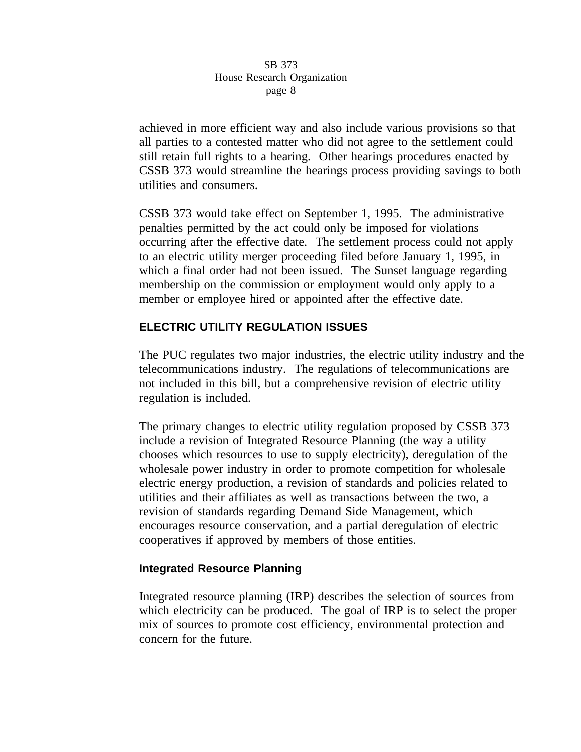achieved in more efficient way and also include various provisions so that all parties to a contested matter who did not agree to the settlement could still retain full rights to a hearing. Other hearings procedures enacted by CSSB 373 would streamline the hearings process providing savings to both utilities and consumers.

CSSB 373 would take effect on September 1, 1995. The administrative penalties permitted by the act could only be imposed for violations occurring after the effective date. The settlement process could not apply to an electric utility merger proceeding filed before January 1, 1995, in which a final order had not been issued. The Sunset language regarding membership on the commission or employment would only apply to a member or employee hired or appointed after the effective date.

# **ELECTRIC UTILITY REGULATION ISSUES**

The PUC regulates two major industries, the electric utility industry and the telecommunications industry. The regulations of telecommunications are not included in this bill, but a comprehensive revision of electric utility regulation is included.

The primary changes to electric utility regulation proposed by CSSB 373 include a revision of Integrated Resource Planning (the way a utility chooses which resources to use to supply electricity), deregulation of the wholesale power industry in order to promote competition for wholesale electric energy production, a revision of standards and policies related to utilities and their affiliates as well as transactions between the two, a revision of standards regarding Demand Side Management, which encourages resource conservation, and a partial deregulation of electric cooperatives if approved by members of those entities.

# **Integrated Resource Planning**

Integrated resource planning (IRP) describes the selection of sources from which electricity can be produced. The goal of IRP is to select the proper mix of sources to promote cost efficiency, environmental protection and concern for the future.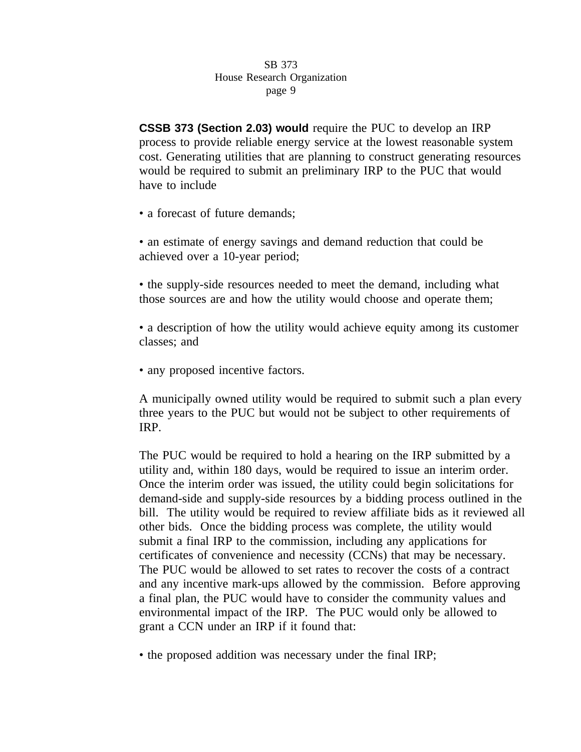**CSSB 373 (Section 2.03) would** require the PUC to develop an IRP process to provide reliable energy service at the lowest reasonable system cost. Generating utilities that are planning to construct generating resources would be required to submit an preliminary IRP to the PUC that would have to include

• a forecast of future demands;

• an estimate of energy savings and demand reduction that could be achieved over a 10-year period;

• the supply-side resources needed to meet the demand, including what those sources are and how the utility would choose and operate them;

• a description of how the utility would achieve equity among its customer classes; and

• any proposed incentive factors.

A municipally owned utility would be required to submit such a plan every three years to the PUC but would not be subject to other requirements of IRP.

The PUC would be required to hold a hearing on the IRP submitted by a utility and, within 180 days, would be required to issue an interim order. Once the interim order was issued, the utility could begin solicitations for demand-side and supply-side resources by a bidding process outlined in the bill. The utility would be required to review affiliate bids as it reviewed all other bids. Once the bidding process was complete, the utility would submit a final IRP to the commission, including any applications for certificates of convenience and necessity (CCNs) that may be necessary. The PUC would be allowed to set rates to recover the costs of a contract and any incentive mark-ups allowed by the commission. Before approving a final plan, the PUC would have to consider the community values and environmental impact of the IRP. The PUC would only be allowed to grant a CCN under an IRP if it found that:

• the proposed addition was necessary under the final IRP;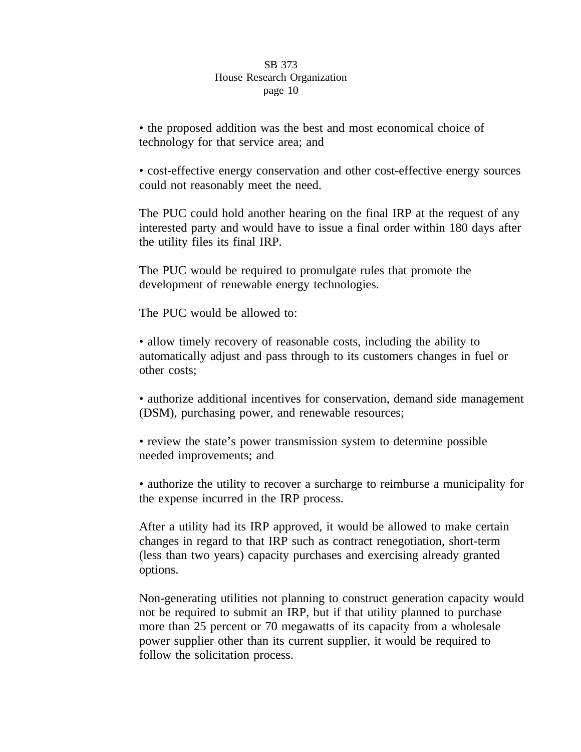• the proposed addition was the best and most economical choice of technology for that service area; and

• cost-effective energy conservation and other cost-effective energy sources could not reasonably meet the need.

The PUC could hold another hearing on the final IRP at the request of any interested party and would have to issue a final order within 180 days after the utility files its final IRP.

The PUC would be required to promulgate rules that promote the development of renewable energy technologies.

The PUC would be allowed to:

• allow timely recovery of reasonable costs, including the ability to automatically adjust and pass through to its customers changes in fuel or other costs;

• authorize additional incentives for conservation, demand side management (DSM), purchasing power, and renewable resources;

• review the state's power transmission system to determine possible needed improvements; and

• authorize the utility to recover a surcharge to reimburse a municipality for the expense incurred in the IRP process.

After a utility had its IRP approved, it would be allowed to make certain changes in regard to that IRP such as contract renegotiation, short-term (less than two years) capacity purchases and exercising already granted options.

Non-generating utilities not planning to construct generation capacity would not be required to submit an IRP, but if that utility planned to purchase more than 25 percent or 70 megawatts of its capacity from a wholesale power supplier other than its current supplier, it would be required to follow the solicitation process.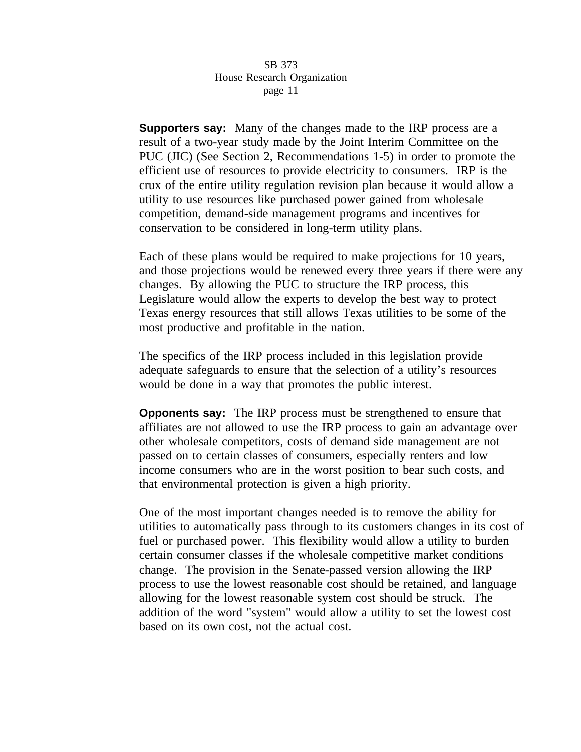**Supporters say:** Many of the changes made to the IRP process are a result of a two-year study made by the Joint Interim Committee on the PUC (JIC) (See Section 2, Recommendations 1-5) in order to promote the efficient use of resources to provide electricity to consumers. IRP is the crux of the entire utility regulation revision plan because it would allow a utility to use resources like purchased power gained from wholesale competition, demand-side management programs and incentives for conservation to be considered in long-term utility plans.

Each of these plans would be required to make projections for 10 years, and those projections would be renewed every three years if there were any changes. By allowing the PUC to structure the IRP process, this Legislature would allow the experts to develop the best way to protect Texas energy resources that still allows Texas utilities to be some of the most productive and profitable in the nation.

The specifics of the IRP process included in this legislation provide adequate safeguards to ensure that the selection of a utility's resources would be done in a way that promotes the public interest.

**Opponents say:** The IRP process must be strengthened to ensure that affiliates are not allowed to use the IRP process to gain an advantage over other wholesale competitors, costs of demand side management are not passed on to certain classes of consumers, especially renters and low income consumers who are in the worst position to bear such costs, and that environmental protection is given a high priority.

One of the most important changes needed is to remove the ability for utilities to automatically pass through to its customers changes in its cost of fuel or purchased power. This flexibility would allow a utility to burden certain consumer classes if the wholesale competitive market conditions change. The provision in the Senate-passed version allowing the IRP process to use the lowest reasonable cost should be retained, and language allowing for the lowest reasonable system cost should be struck. The addition of the word "system" would allow a utility to set the lowest cost based on its own cost, not the actual cost.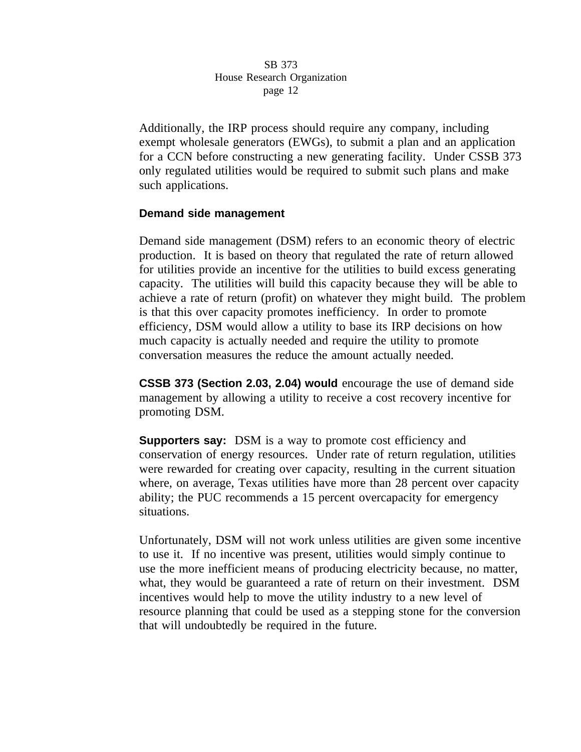Additionally, the IRP process should require any company, including exempt wholesale generators (EWGs), to submit a plan and an application for a CCN before constructing a new generating facility. Under CSSB 373 only regulated utilities would be required to submit such plans and make such applications.

# **Demand side management**

Demand side management (DSM) refers to an economic theory of electric production. It is based on theory that regulated the rate of return allowed for utilities provide an incentive for the utilities to build excess generating capacity. The utilities will build this capacity because they will be able to achieve a rate of return (profit) on whatever they might build. The problem is that this over capacity promotes inefficiency. In order to promote efficiency, DSM would allow a utility to base its IRP decisions on how much capacity is actually needed and require the utility to promote conversation measures the reduce the amount actually needed.

**CSSB 373 (Section 2.03, 2.04) would** encourage the use of demand side management by allowing a utility to receive a cost recovery incentive for promoting DSM.

**Supporters say:** DSM is a way to promote cost efficiency and conservation of energy resources. Under rate of return regulation, utilities were rewarded for creating over capacity, resulting in the current situation where, on average, Texas utilities have more than 28 percent over capacity ability; the PUC recommends a 15 percent overcapacity for emergency situations.

Unfortunately, DSM will not work unless utilities are given some incentive to use it. If no incentive was present, utilities would simply continue to use the more inefficient means of producing electricity because, no matter, what, they would be guaranteed a rate of return on their investment. DSM incentives would help to move the utility industry to a new level of resource planning that could be used as a stepping stone for the conversion that will undoubtedly be required in the future.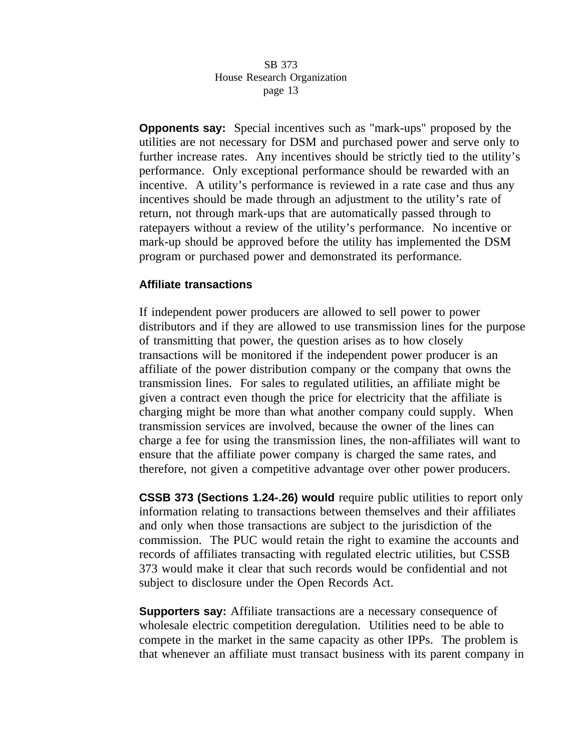**Opponents say:** Special incentives such as "mark-ups" proposed by the utilities are not necessary for DSM and purchased power and serve only to further increase rates. Any incentives should be strictly tied to the utility's performance. Only exceptional performance should be rewarded with an incentive. A utility's performance is reviewed in a rate case and thus any incentives should be made through an adjustment to the utility's rate of return, not through mark-ups that are automatically passed through to ratepayers without a review of the utility's performance. No incentive or mark-up should be approved before the utility has implemented the DSM program or purchased power and demonstrated its performance.

# **Affiliate transactions**

If independent power producers are allowed to sell power to power distributors and if they are allowed to use transmission lines for the purpose of transmitting that power, the question arises as to how closely transactions will be monitored if the independent power producer is an affiliate of the power distribution company or the company that owns the transmission lines. For sales to regulated utilities, an affiliate might be given a contract even though the price for electricity that the affiliate is charging might be more than what another company could supply. When transmission services are involved, because the owner of the lines can charge a fee for using the transmission lines, the non-affiliates will want to ensure that the affiliate power company is charged the same rates, and therefore, not given a competitive advantage over other power producers.

**CSSB 373 (Sections 1.24-.26) would** require public utilities to report only information relating to transactions between themselves and their affiliates and only when those transactions are subject to the jurisdiction of the commission. The PUC would retain the right to examine the accounts and records of affiliates transacting with regulated electric utilities, but CSSB 373 would make it clear that such records would be confidential and not subject to disclosure under the Open Records Act.

**Supporters say:** Affiliate transactions are a necessary consequence of wholesale electric competition deregulation. Utilities need to be able to compete in the market in the same capacity as other IPPs. The problem is that whenever an affiliate must transact business with its parent company in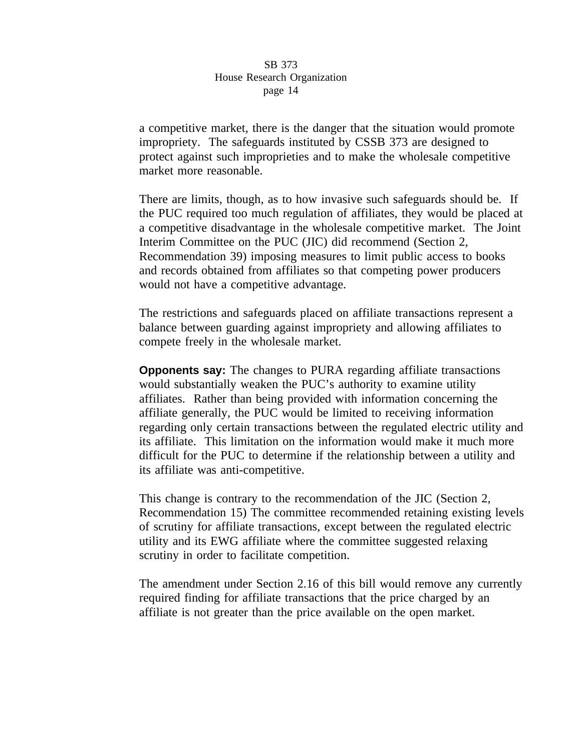a competitive market, there is the danger that the situation would promote impropriety. The safeguards instituted by CSSB 373 are designed to protect against such improprieties and to make the wholesale competitive market more reasonable.

There are limits, though, as to how invasive such safeguards should be. If the PUC required too much regulation of affiliates, they would be placed at a competitive disadvantage in the wholesale competitive market. The Joint Interim Committee on the PUC (JIC) did recommend (Section 2, Recommendation 39) imposing measures to limit public access to books and records obtained from affiliates so that competing power producers would not have a competitive advantage.

The restrictions and safeguards placed on affiliate transactions represent a balance between guarding against impropriety and allowing affiliates to compete freely in the wholesale market.

**Opponents say:** The changes to PURA regarding affiliate transactions would substantially weaken the PUC's authority to examine utility affiliates. Rather than being provided with information concerning the affiliate generally, the PUC would be limited to receiving information regarding only certain transactions between the regulated electric utility and its affiliate. This limitation on the information would make it much more difficult for the PUC to determine if the relationship between a utility and its affiliate was anti-competitive.

This change is contrary to the recommendation of the JIC (Section 2, Recommendation 15) The committee recommended retaining existing levels of scrutiny for affiliate transactions, except between the regulated electric utility and its EWG affiliate where the committee suggested relaxing scrutiny in order to facilitate competition.

The amendment under Section 2.16 of this bill would remove any currently required finding for affiliate transactions that the price charged by an affiliate is not greater than the price available on the open market.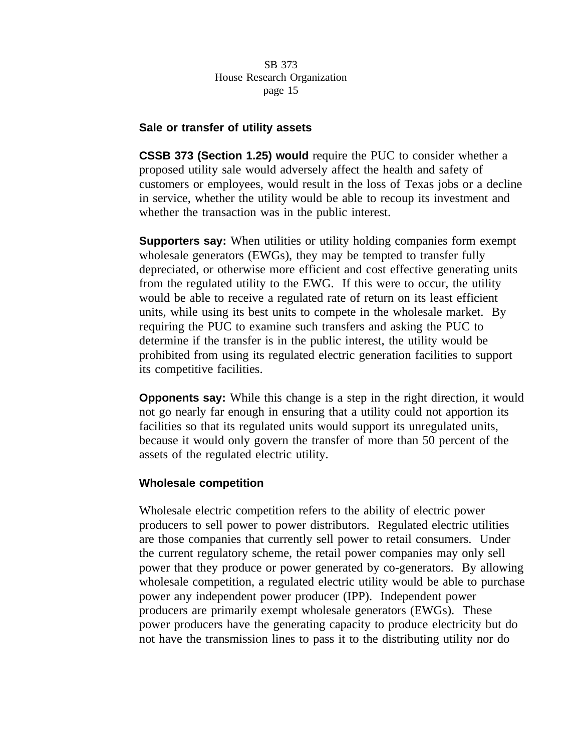# **Sale or transfer of utility assets**

**CSSB 373 (Section 1.25) would** require the PUC to consider whether a proposed utility sale would adversely affect the health and safety of customers or employees, would result in the loss of Texas jobs or a decline in service, whether the utility would be able to recoup its investment and whether the transaction was in the public interest.

**Supporters say:** When utilities or utility holding companies form exempt wholesale generators (EWGs), they may be tempted to transfer fully depreciated, or otherwise more efficient and cost effective generating units from the regulated utility to the EWG. If this were to occur, the utility would be able to receive a regulated rate of return on its least efficient units, while using its best units to compete in the wholesale market. By requiring the PUC to examine such transfers and asking the PUC to determine if the transfer is in the public interest, the utility would be prohibited from using its regulated electric generation facilities to support its competitive facilities.

**Opponents say:** While this change is a step in the right direction, it would not go nearly far enough in ensuring that a utility could not apportion its facilities so that its regulated units would support its unregulated units, because it would only govern the transfer of more than 50 percent of the assets of the regulated electric utility.

# **Wholesale competition**

Wholesale electric competition refers to the ability of electric power producers to sell power to power distributors. Regulated electric utilities are those companies that currently sell power to retail consumers. Under the current regulatory scheme, the retail power companies may only sell power that they produce or power generated by co-generators. By allowing wholesale competition, a regulated electric utility would be able to purchase power any independent power producer (IPP). Independent power producers are primarily exempt wholesale generators (EWGs). These power producers have the generating capacity to produce electricity but do not have the transmission lines to pass it to the distributing utility nor do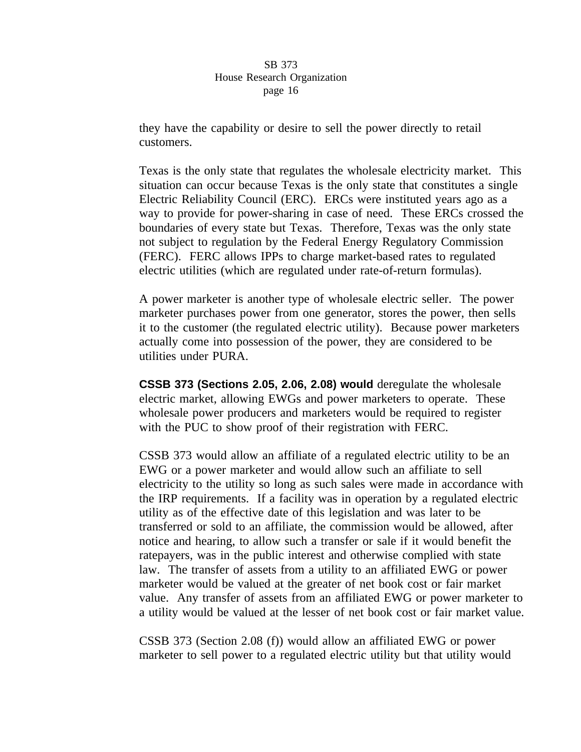they have the capability or desire to sell the power directly to retail customers.

Texas is the only state that regulates the wholesale electricity market. This situation can occur because Texas is the only state that constitutes a single Electric Reliability Council (ERC). ERCs were instituted years ago as a way to provide for power-sharing in case of need. These ERCs crossed the boundaries of every state but Texas. Therefore, Texas was the only state not subject to regulation by the Federal Energy Regulatory Commission (FERC). FERC allows IPPs to charge market-based rates to regulated electric utilities (which are regulated under rate-of-return formulas).

A power marketer is another type of wholesale electric seller. The power marketer purchases power from one generator, stores the power, then sells it to the customer (the regulated electric utility). Because power marketers actually come into possession of the power, they are considered to be utilities under PURA.

**CSSB 373 (Sections 2.05, 2.06, 2.08) would** deregulate the wholesale electric market, allowing EWGs and power marketers to operate. These wholesale power producers and marketers would be required to register with the PUC to show proof of their registration with FERC.

CSSB 373 would allow an affiliate of a regulated electric utility to be an EWG or a power marketer and would allow such an affiliate to sell electricity to the utility so long as such sales were made in accordance with the IRP requirements. If a facility was in operation by a regulated electric utility as of the effective date of this legislation and was later to be transferred or sold to an affiliate, the commission would be allowed, after notice and hearing, to allow such a transfer or sale if it would benefit the ratepayers, was in the public interest and otherwise complied with state law. The transfer of assets from a utility to an affiliated EWG or power marketer would be valued at the greater of net book cost or fair market value. Any transfer of assets from an affiliated EWG or power marketer to a utility would be valued at the lesser of net book cost or fair market value.

CSSB 373 (Section 2.08 (f)) would allow an affiliated EWG or power marketer to sell power to a regulated electric utility but that utility would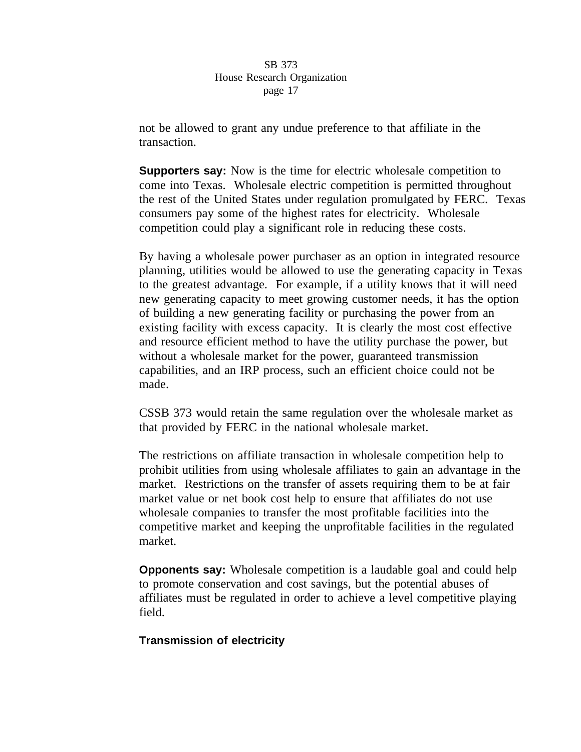not be allowed to grant any undue preference to that affiliate in the transaction.

**Supporters say:** Now is the time for electric wholesale competition to come into Texas. Wholesale electric competition is permitted throughout the rest of the United States under regulation promulgated by FERC. Texas consumers pay some of the highest rates for electricity. Wholesale competition could play a significant role in reducing these costs.

By having a wholesale power purchaser as an option in integrated resource planning, utilities would be allowed to use the generating capacity in Texas to the greatest advantage. For example, if a utility knows that it will need new generating capacity to meet growing customer needs, it has the option of building a new generating facility or purchasing the power from an existing facility with excess capacity. It is clearly the most cost effective and resource efficient method to have the utility purchase the power, but without a wholesale market for the power, guaranteed transmission capabilities, and an IRP process, such an efficient choice could not be made.

CSSB 373 would retain the same regulation over the wholesale market as that provided by FERC in the national wholesale market.

The restrictions on affiliate transaction in wholesale competition help to prohibit utilities from using wholesale affiliates to gain an advantage in the market. Restrictions on the transfer of assets requiring them to be at fair market value or net book cost help to ensure that affiliates do not use wholesale companies to transfer the most profitable facilities into the competitive market and keeping the unprofitable facilities in the regulated market.

**Opponents say:** Wholesale competition is a laudable goal and could help to promote conservation and cost savings, but the potential abuses of affiliates must be regulated in order to achieve a level competitive playing field.

# **Transmission of electricity**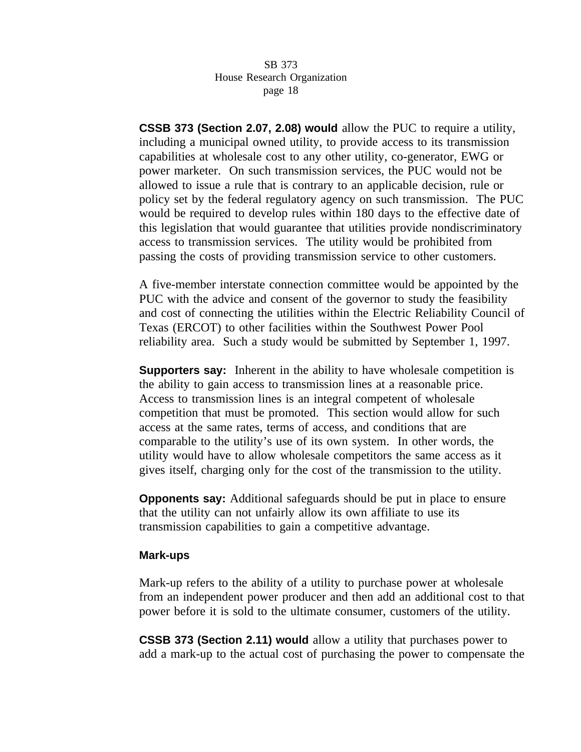**CSSB 373 (Section 2.07, 2.08) would** allow the PUC to require a utility, including a municipal owned utility, to provide access to its transmission capabilities at wholesale cost to any other utility, co-generator, EWG or power marketer. On such transmission services, the PUC would not be allowed to issue a rule that is contrary to an applicable decision, rule or policy set by the federal regulatory agency on such transmission. The PUC would be required to develop rules within 180 days to the effective date of this legislation that would guarantee that utilities provide nondiscriminatory access to transmission services. The utility would be prohibited from passing the costs of providing transmission service to other customers.

A five-member interstate connection committee would be appointed by the PUC with the advice and consent of the governor to study the feasibility and cost of connecting the utilities within the Electric Reliability Council of Texas (ERCOT) to other facilities within the Southwest Power Pool reliability area. Such a study would be submitted by September 1, 1997.

**Supporters say:** Inherent in the ability to have wholesale competition is the ability to gain access to transmission lines at a reasonable price. Access to transmission lines is an integral competent of wholesale competition that must be promoted. This section would allow for such access at the same rates, terms of access, and conditions that are comparable to the utility's use of its own system. In other words, the utility would have to allow wholesale competitors the same access as it gives itself, charging only for the cost of the transmission to the utility.

**Opponents say:** Additional safeguards should be put in place to ensure that the utility can not unfairly allow its own affiliate to use its transmission capabilities to gain a competitive advantage.

## **Mark-ups**

Mark-up refers to the ability of a utility to purchase power at wholesale from an independent power producer and then add an additional cost to that power before it is sold to the ultimate consumer, customers of the utility.

**CSSB 373 (Section 2.11) would** allow a utility that purchases power to add a mark-up to the actual cost of purchasing the power to compensate the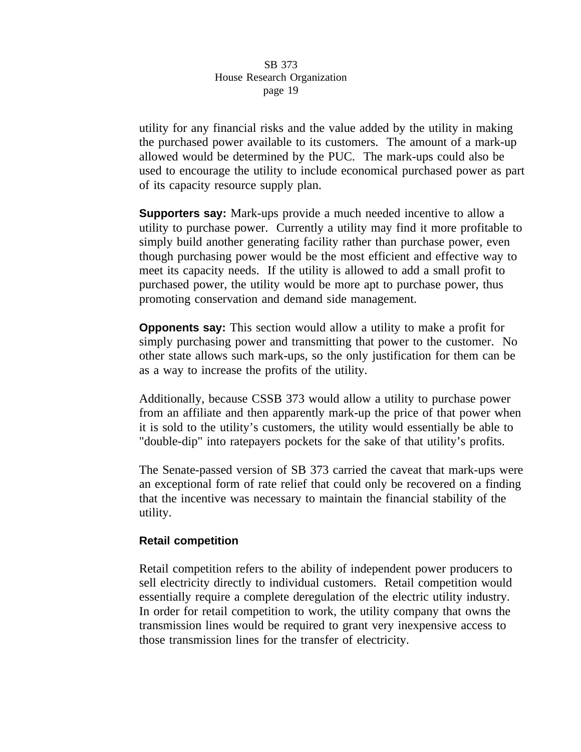utility for any financial risks and the value added by the utility in making the purchased power available to its customers. The amount of a mark-up allowed would be determined by the PUC. The mark-ups could also be used to encourage the utility to include economical purchased power as part of its capacity resource supply plan.

**Supporters say:** Mark-ups provide a much needed incentive to allow a utility to purchase power. Currently a utility may find it more profitable to simply build another generating facility rather than purchase power, even though purchasing power would be the most efficient and effective way to meet its capacity needs. If the utility is allowed to add a small profit to purchased power, the utility would be more apt to purchase power, thus promoting conservation and demand side management.

**Opponents say:** This section would allow a utility to make a profit for simply purchasing power and transmitting that power to the customer. No other state allows such mark-ups, so the only justification for them can be as a way to increase the profits of the utility.

Additionally, because CSSB 373 would allow a utility to purchase power from an affiliate and then apparently mark-up the price of that power when it is sold to the utility's customers, the utility would essentially be able to "double-dip" into ratepayers pockets for the sake of that utility's profits.

The Senate-passed version of SB 373 carried the caveat that mark-ups were an exceptional form of rate relief that could only be recovered on a finding that the incentive was necessary to maintain the financial stability of the utility.

## **Retail competition**

Retail competition refers to the ability of independent power producers to sell electricity directly to individual customers. Retail competition would essentially require a complete deregulation of the electric utility industry. In order for retail competition to work, the utility company that owns the transmission lines would be required to grant very inexpensive access to those transmission lines for the transfer of electricity.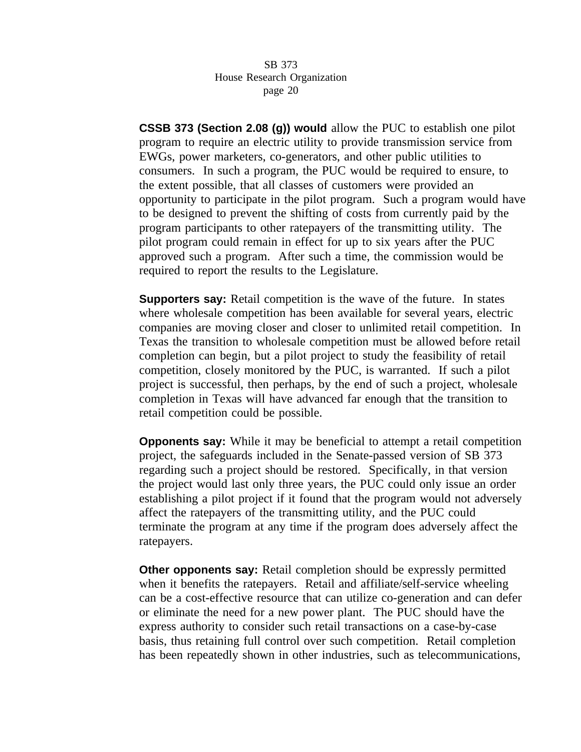**CSSB 373 (Section 2.08 (g)) would** allow the PUC to establish one pilot program to require an electric utility to provide transmission service from EWGs, power marketers, co-generators, and other public utilities to consumers. In such a program, the PUC would be required to ensure, to the extent possible, that all classes of customers were provided an opportunity to participate in the pilot program. Such a program would have to be designed to prevent the shifting of costs from currently paid by the program participants to other ratepayers of the transmitting utility. The pilot program could remain in effect for up to six years after the PUC approved such a program. After such a time, the commission would be required to report the results to the Legislature.

**Supporters say:** Retail competition is the wave of the future. In states where wholesale competition has been available for several years, electric companies are moving closer and closer to unlimited retail competition. In Texas the transition to wholesale competition must be allowed before retail completion can begin, but a pilot project to study the feasibility of retail competition, closely monitored by the PUC, is warranted. If such a pilot project is successful, then perhaps, by the end of such a project, wholesale completion in Texas will have advanced far enough that the transition to retail competition could be possible.

**Opponents say:** While it may be beneficial to attempt a retail competition project, the safeguards included in the Senate-passed version of SB 373 regarding such a project should be restored. Specifically, in that version the project would last only three years, the PUC could only issue an order establishing a pilot project if it found that the program would not adversely affect the ratepayers of the transmitting utility, and the PUC could terminate the program at any time if the program does adversely affect the ratepayers.

**Other opponents say:** Retail completion should be expressly permitted when it benefits the ratepayers. Retail and affiliate/self-service wheeling can be a cost-effective resource that can utilize co-generation and can defer or eliminate the need for a new power plant. The PUC should have the express authority to consider such retail transactions on a case-by-case basis, thus retaining full control over such competition. Retail completion has been repeatedly shown in other industries, such as telecommunications,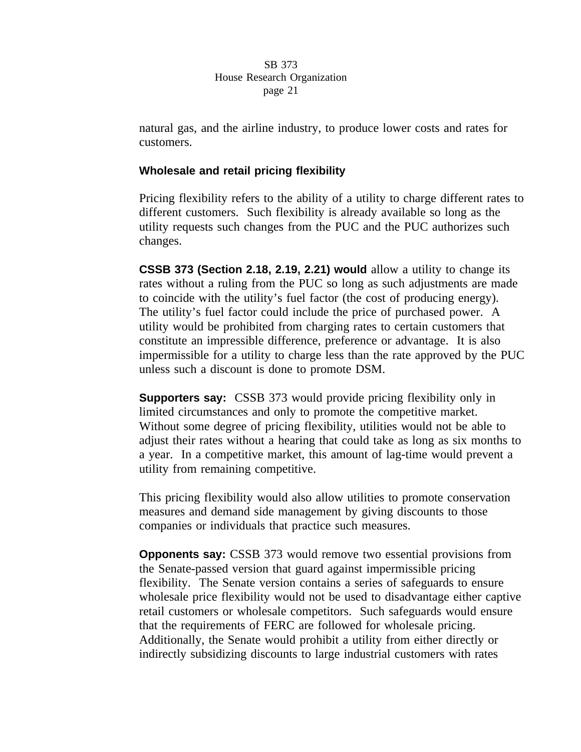natural gas, and the airline industry, to produce lower costs and rates for customers.

# **Wholesale and retail pricing flexibility**

Pricing flexibility refers to the ability of a utility to charge different rates to different customers. Such flexibility is already available so long as the utility requests such changes from the PUC and the PUC authorizes such changes.

**CSSB 373 (Section 2.18, 2.19, 2.21) would** allow a utility to change its rates without a ruling from the PUC so long as such adjustments are made to coincide with the utility's fuel factor (the cost of producing energy). The utility's fuel factor could include the price of purchased power. A utility would be prohibited from charging rates to certain customers that constitute an impressible difference, preference or advantage. It is also impermissible for a utility to charge less than the rate approved by the PUC unless such a discount is done to promote DSM.

**Supporters say:** CSSB 373 would provide pricing flexibility only in limited circumstances and only to promote the competitive market. Without some degree of pricing flexibility, utilities would not be able to adjust their rates without a hearing that could take as long as six months to a year. In a competitive market, this amount of lag-time would prevent a utility from remaining competitive.

This pricing flexibility would also allow utilities to promote conservation measures and demand side management by giving discounts to those companies or individuals that practice such measures.

**Opponents say:** CSSB 373 would remove two essential provisions from the Senate-passed version that guard against impermissible pricing flexibility. The Senate version contains a series of safeguards to ensure wholesale price flexibility would not be used to disadvantage either captive retail customers or wholesale competitors. Such safeguards would ensure that the requirements of FERC are followed for wholesale pricing. Additionally, the Senate would prohibit a utility from either directly or indirectly subsidizing discounts to large industrial customers with rates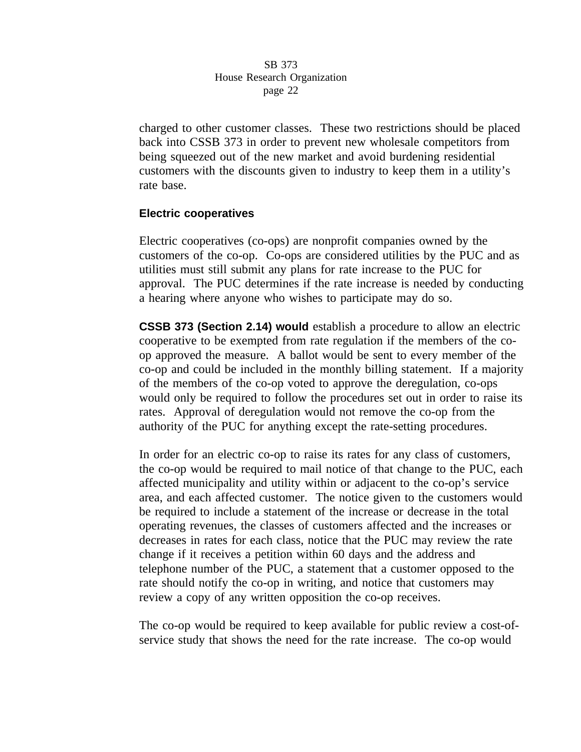charged to other customer classes. These two restrictions should be placed back into CSSB 373 in order to prevent new wholesale competitors from being squeezed out of the new market and avoid burdening residential customers with the discounts given to industry to keep them in a utility's rate base.

# **Electric cooperatives**

Electric cooperatives (co-ops) are nonprofit companies owned by the customers of the co-op. Co-ops are considered utilities by the PUC and as utilities must still submit any plans for rate increase to the PUC for approval. The PUC determines if the rate increase is needed by conducting a hearing where anyone who wishes to participate may do so.

**CSSB 373 (Section 2.14) would** establish a procedure to allow an electric cooperative to be exempted from rate regulation if the members of the coop approved the measure. A ballot would be sent to every member of the co-op and could be included in the monthly billing statement. If a majority of the members of the co-op voted to approve the deregulation, co-ops would only be required to follow the procedures set out in order to raise its rates. Approval of deregulation would not remove the co-op from the authority of the PUC for anything except the rate-setting procedures.

In order for an electric co-op to raise its rates for any class of customers, the co-op would be required to mail notice of that change to the PUC, each affected municipality and utility within or adjacent to the co-op's service area, and each affected customer. The notice given to the customers would be required to include a statement of the increase or decrease in the total operating revenues, the classes of customers affected and the increases or decreases in rates for each class, notice that the PUC may review the rate change if it receives a petition within 60 days and the address and telephone number of the PUC, a statement that a customer opposed to the rate should notify the co-op in writing, and notice that customers may review a copy of any written opposition the co-op receives.

The co-op would be required to keep available for public review a cost-ofservice study that shows the need for the rate increase. The co-op would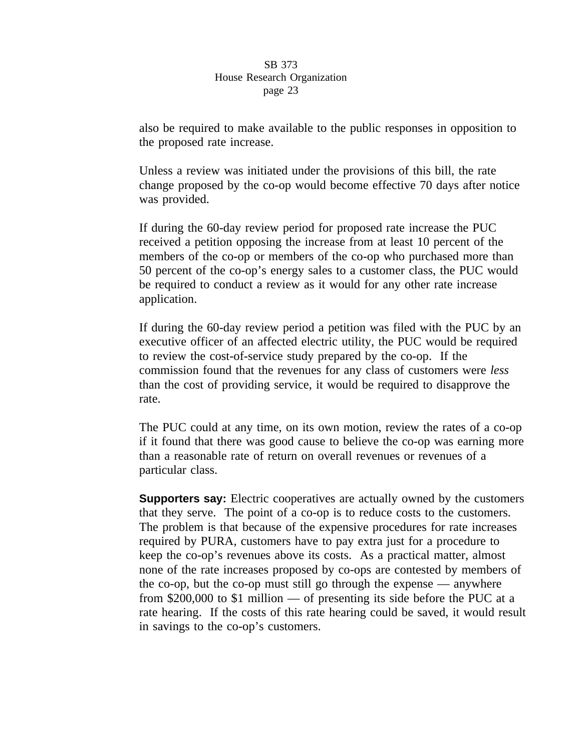also be required to make available to the public responses in opposition to the proposed rate increase.

Unless a review was initiated under the provisions of this bill, the rate change proposed by the co-op would become effective 70 days after notice was provided.

If during the 60-day review period for proposed rate increase the PUC received a petition opposing the increase from at least 10 percent of the members of the co-op or members of the co-op who purchased more than 50 percent of the co-op's energy sales to a customer class, the PUC would be required to conduct a review as it would for any other rate increase application.

If during the 60-day review period a petition was filed with the PUC by an executive officer of an affected electric utility, the PUC would be required to review the cost-of-service study prepared by the co-op. If the commission found that the revenues for any class of customers were *less* than the cost of providing service, it would be required to disapprove the rate.

The PUC could at any time, on its own motion, review the rates of a co-op if it found that there was good cause to believe the co-op was earning more than a reasonable rate of return on overall revenues or revenues of a particular class.

**Supporters say:** Electric cooperatives are actually owned by the customers that they serve. The point of a co-op is to reduce costs to the customers. The problem is that because of the expensive procedures for rate increases required by PURA, customers have to pay extra just for a procedure to keep the co-op's revenues above its costs. As a practical matter, almost none of the rate increases proposed by co-ops are contested by members of the co-op, but the co-op must still go through the expense — anywhere from \$200,000 to \$1 million — of presenting its side before the PUC at a rate hearing. If the costs of this rate hearing could be saved, it would result in savings to the co-op's customers.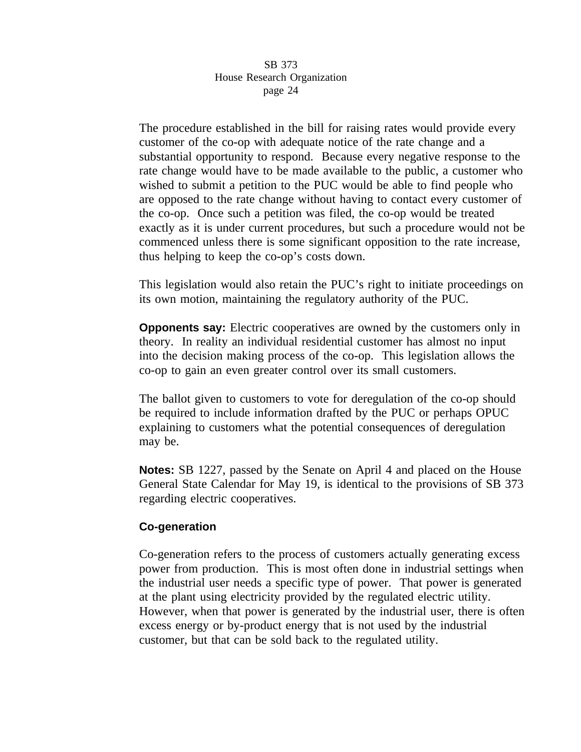The procedure established in the bill for raising rates would provide every customer of the co-op with adequate notice of the rate change and a substantial opportunity to respond. Because every negative response to the rate change would have to be made available to the public, a customer who wished to submit a petition to the PUC would be able to find people who are opposed to the rate change without having to contact every customer of the co-op. Once such a petition was filed, the co-op would be treated exactly as it is under current procedures, but such a procedure would not be commenced unless there is some significant opposition to the rate increase, thus helping to keep the co-op's costs down.

This legislation would also retain the PUC's right to initiate proceedings on its own motion, maintaining the regulatory authority of the PUC.

**Opponents say:** Electric cooperatives are owned by the customers only in theory. In reality an individual residential customer has almost no input into the decision making process of the co-op. This legislation allows the co-op to gain an even greater control over its small customers.

The ballot given to customers to vote for deregulation of the co-op should be required to include information drafted by the PUC or perhaps OPUC explaining to customers what the potential consequences of deregulation may be.

**Notes:** SB 1227, passed by the Senate on April 4 and placed on the House General State Calendar for May 19, is identical to the provisions of SB 373 regarding electric cooperatives.

# **Co-generation**

Co-generation refers to the process of customers actually generating excess power from production. This is most often done in industrial settings when the industrial user needs a specific type of power. That power is generated at the plant using electricity provided by the regulated electric utility. However, when that power is generated by the industrial user, there is often excess energy or by-product energy that is not used by the industrial customer, but that can be sold back to the regulated utility.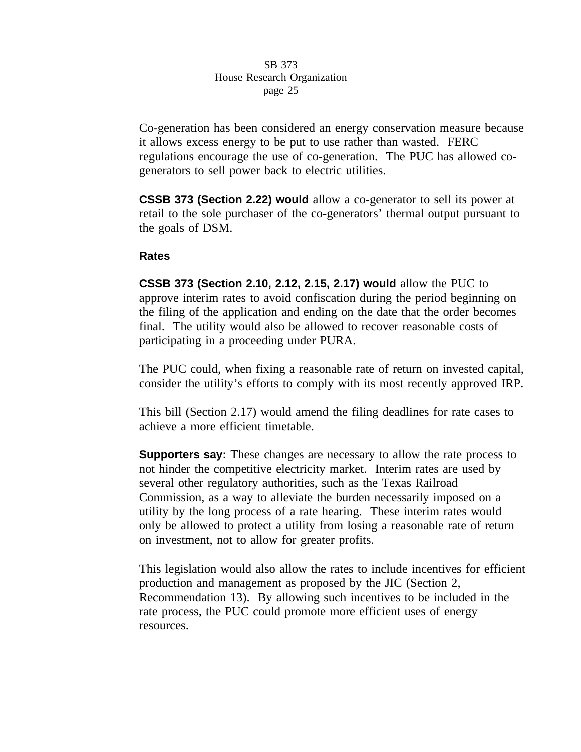Co-generation has been considered an energy conservation measure because it allows excess energy to be put to use rather than wasted. FERC regulations encourage the use of co-generation. The PUC has allowed cogenerators to sell power back to electric utilities.

**CSSB 373 (Section 2.22) would** allow a co-generator to sell its power at retail to the sole purchaser of the co-generators' thermal output pursuant to the goals of DSM.

# **Rates**

**CSSB 373 (Section 2.10, 2.12, 2.15, 2.17) would** allow the PUC to approve interim rates to avoid confiscation during the period beginning on the filing of the application and ending on the date that the order becomes final. The utility would also be allowed to recover reasonable costs of participating in a proceeding under PURA.

The PUC could, when fixing a reasonable rate of return on invested capital, consider the utility's efforts to comply with its most recently approved IRP.

This bill (Section 2.17) would amend the filing deadlines for rate cases to achieve a more efficient timetable.

**Supporters say:** These changes are necessary to allow the rate process to not hinder the competitive electricity market. Interim rates are used by several other regulatory authorities, such as the Texas Railroad Commission, as a way to alleviate the burden necessarily imposed on a utility by the long process of a rate hearing. These interim rates would only be allowed to protect a utility from losing a reasonable rate of return on investment, not to allow for greater profits.

This legislation would also allow the rates to include incentives for efficient production and management as proposed by the JIC (Section 2, Recommendation 13). By allowing such incentives to be included in the rate process, the PUC could promote more efficient uses of energy resources.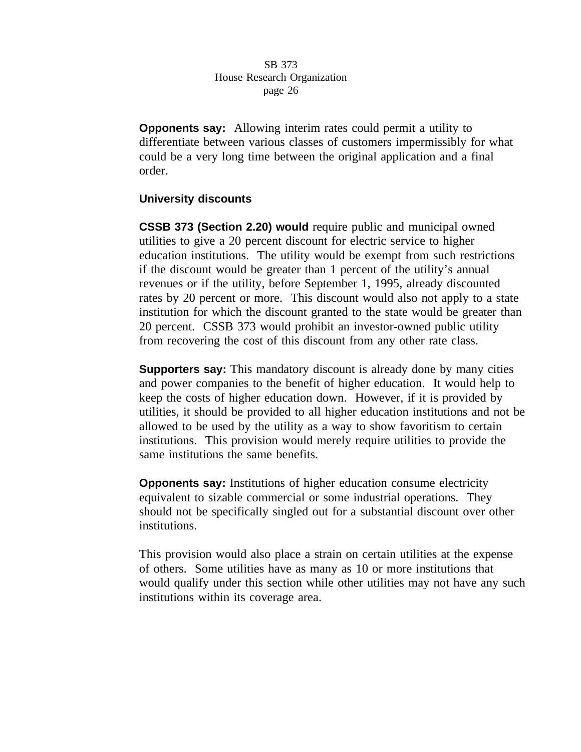**Opponents say:** Allowing interim rates could permit a utility to differentiate between various classes of customers impermissibly for what could be a very long time between the original application and a final order.

# **University discounts**

**CSSB 373 (Section 2.20) would** require public and municipal owned utilities to give a 20 percent discount for electric service to higher education institutions. The utility would be exempt from such restrictions if the discount would be greater than 1 percent of the utility's annual revenues or if the utility, before September 1, 1995, already discounted rates by 20 percent or more. This discount would also not apply to a state institution for which the discount granted to the state would be greater than 20 percent. CSSB 373 would prohibit an investor-owned public utility from recovering the cost of this discount from any other rate class.

**Supporters say:** This mandatory discount is already done by many cities and power companies to the benefit of higher education. It would help to keep the costs of higher education down. However, if it is provided by utilities, it should be provided to all higher education institutions and not be allowed to be used by the utility as a way to show favoritism to certain institutions. This provision would merely require utilities to provide the same institutions the same benefits.

**Opponents say:** Institutions of higher education consume electricity equivalent to sizable commercial or some industrial operations. They should not be specifically singled out for a substantial discount over other institutions.

This provision would also place a strain on certain utilities at the expense of others. Some utilities have as many as 10 or more institutions that would qualify under this section while other utilities may not have any such institutions within its coverage area.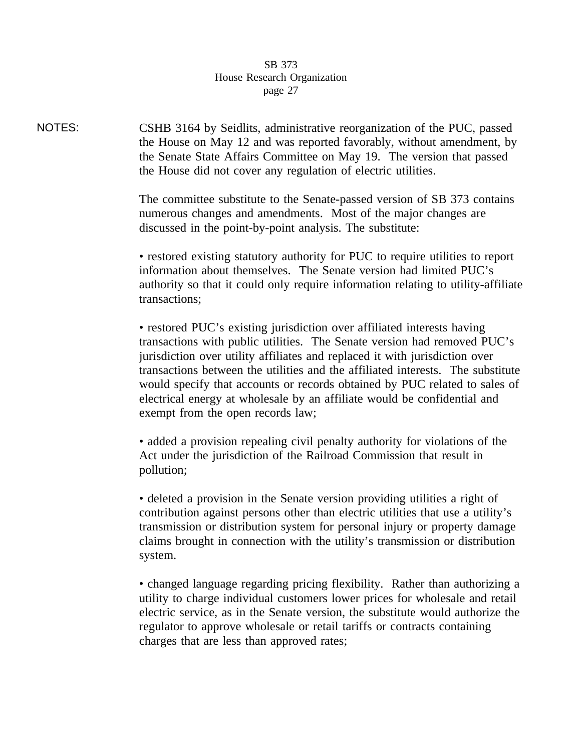NOTES: CSHB 3164 by Seidlits, administrative reorganization of the PUC, passed the House on May 12 and was reported favorably, without amendment, by the Senate State Affairs Committee on May 19. The version that passed the House did not cover any regulation of electric utilities.

> The committee substitute to the Senate-passed version of SB 373 contains numerous changes and amendments. Most of the major changes are discussed in the point-by-point analysis. The substitute:

• restored existing statutory authority for PUC to require utilities to report information about themselves. The Senate version had limited PUC's authority so that it could only require information relating to utility-affiliate transactions;

• restored PUC's existing jurisdiction over affiliated interests having transactions with public utilities. The Senate version had removed PUC's jurisdiction over utility affiliates and replaced it with jurisdiction over transactions between the utilities and the affiliated interests. The substitute would specify that accounts or records obtained by PUC related to sales of electrical energy at wholesale by an affiliate would be confidential and exempt from the open records law;

• added a provision repealing civil penalty authority for violations of the Act under the jurisdiction of the Railroad Commission that result in pollution;

• deleted a provision in the Senate version providing utilities a right of contribution against persons other than electric utilities that use a utility's transmission or distribution system for personal injury or property damage claims brought in connection with the utility's transmission or distribution system.

• changed language regarding pricing flexibility. Rather than authorizing a utility to charge individual customers lower prices for wholesale and retail electric service, as in the Senate version, the substitute would authorize the regulator to approve wholesale or retail tariffs or contracts containing charges that are less than approved rates;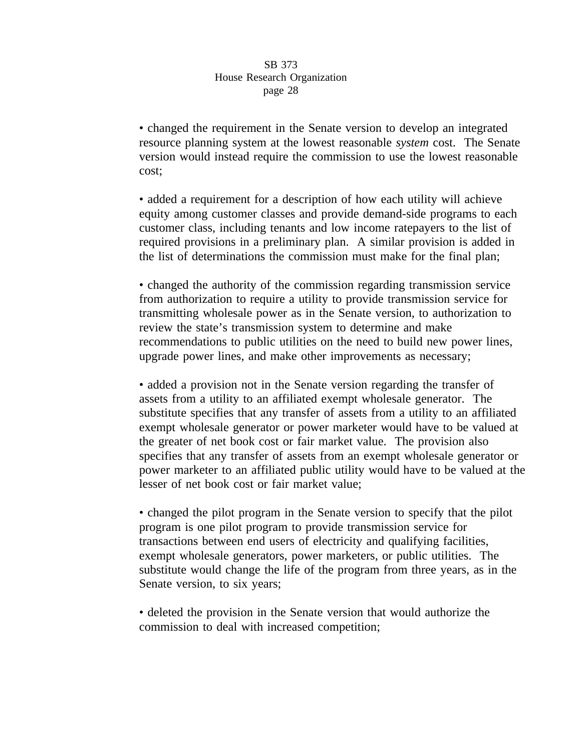• changed the requirement in the Senate version to develop an integrated resource planning system at the lowest reasonable *system* cost. The Senate version would instead require the commission to use the lowest reasonable cost;

• added a requirement for a description of how each utility will achieve equity among customer classes and provide demand-side programs to each customer class, including tenants and low income ratepayers to the list of required provisions in a preliminary plan. A similar provision is added in the list of determinations the commission must make for the final plan;

• changed the authority of the commission regarding transmission service from authorization to require a utility to provide transmission service for transmitting wholesale power as in the Senate version, to authorization to review the state's transmission system to determine and make recommendations to public utilities on the need to build new power lines, upgrade power lines, and make other improvements as necessary;

• added a provision not in the Senate version regarding the transfer of assets from a utility to an affiliated exempt wholesale generator. The substitute specifies that any transfer of assets from a utility to an affiliated exempt wholesale generator or power marketer would have to be valued at the greater of net book cost or fair market value. The provision also specifies that any transfer of assets from an exempt wholesale generator or power marketer to an affiliated public utility would have to be valued at the lesser of net book cost or fair market value;

• changed the pilot program in the Senate version to specify that the pilot program is one pilot program to provide transmission service for transactions between end users of electricity and qualifying facilities, exempt wholesale generators, power marketers, or public utilities. The substitute would change the life of the program from three years, as in the Senate version, to six years;

• deleted the provision in the Senate version that would authorize the commission to deal with increased competition;